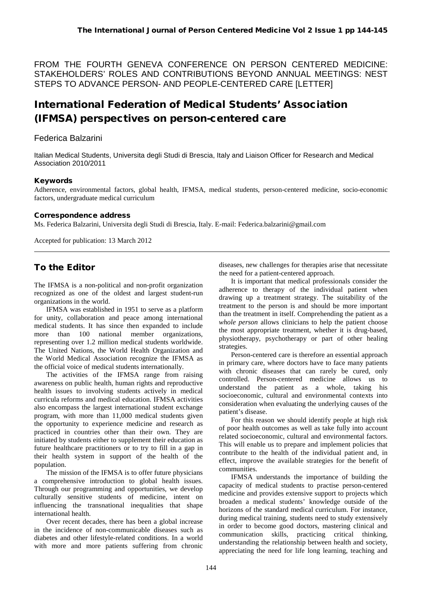FROM THE FOURTH GENEVA CONFERENCE ON PERSON CENTERED MEDICINE: STAKEHOLDERS' ROLES AND CONTRIBUTIONS BEYOND ANNUAL MEETINGS: NEST STEPS TO ADVANCE PERSON- AND PEOPLE-CENTERED CARE [LETTER]

# International Federation of Medical Students' Association (IFMSA) perspectives on person-centered care

## Federica Balzarini

Italian Medical Students, Universita degli Studi di Brescia, Italy and Liaison Officer for Research and Medical Association 2010/2011

#### Keywords

Adherence, environmental factors, global health, IFMSA, medical students, person-centered medicine, socio-economic factors, undergraduate medical curriculum

#### Correspondence address

Ms. Federica Balzarini, Universita degli Studi di Brescia, Italy. E-mail: Federica.balzarini@gmail.com

Accepted for publication: 13 March 2012

# To the Editor

The IFMSA is a non-political and non-profit organization recognized as one of the oldest and largest student-run organizations in the world.

IFMSA was established in 1951 to serve as a platform for unity, collaboration and peace among international medical students. It has since then expanded to include more than 100 national member organizations, representing over 1.2 million medical students worldwide. The United Nations, the World Health Organization and the World Medical Association recognize the IFMSA as the official voice of medical students internationally.

The activities of the IFMSA range from raising awareness on public health, human rights and reproductive health issues to involving students actively in medical curricula reforms and medical education. IFMSA activities also encompass the largest international student exchange program, with more than 11,000 medical students given the opportunity to experience medicine and research as practiced in countries other than their own. They are initiated by students either to supplement their education as future healthcare practitioners or to try to fill in a gap in their health system in support of the health of the population.

The mission of the IFMSA is to offer future physicians a comprehensive introduction to global health issues. Through our programming and opportunities, we develop culturally sensitive students of medicine, intent on influencing the transnational inequalities that shape international health.

Over recent decades, there has been a global increase in the incidence of non-communicable diseases such as diabetes and other lifestyle-related conditions. In a world with more and more patients suffering from chronic

diseases, new challenges for therapies arise that necessitate the need for a patient-centered approach.

It is important that medical professionals consider the adherence to therapy of the individual patient when drawing up a treatment strategy. The suitability of the treatment to the person is and should be more important than the treatment in itself. Comprehending the patient as a *whole person* allows clinicians to help the patient choose the most appropriate treatment, whether it is drug-based, physiotherapy, psychotherapy or part of other healing strategies.

Person-centered care is therefore an essential approach in primary care, where doctors have to face many patients with chronic diseases that can rarely be cured, only controlled. Person-centered medicine allows us to understand the patient as a whole, taking his socioeconomic, cultural and environmental contexts into consideration when evaluating the underlying causes of the patient's disease.

For this reason we should identify people at high risk of poor health outcomes as well as take fully into account related socioeconomic, cultural and environmental factors. This will enable us to prepare and implement policies that contribute to the health of the individual patient and, in effect, improve the available strategies for the benefit of communities.

IFMSA understands the importance of building the capacity of medical students to practise person-centered medicine and provides extensive support to projects which broaden a medical students' knowledge outside of the horizons of the standard medical curriculum. For instance, during medical training, students need to study extensively in order to become good doctors, mastering clinical and communication skills, practicing critical thinking, understanding the relationship between health and society, appreciating the need for life long learning, teaching and